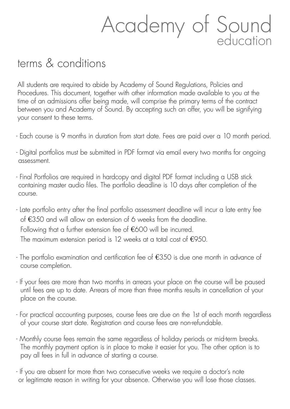## Academy of Sound education

## terms & conditions

All students are required to abide by Academy of Sound Regulations, Policies and Procedures. This document, together with other information made available to you at the time of an admissions offer being made, will comprise the primary terms of the contract between you and Academy of Sound. By accepting such an offer, you will be signifying your consent to these terms.

- Each course is 9 months in duration from start date. Fees are paid over a 10 month period.
- Digital portfolios must be submitted in PDF format via email every two months for ongoing assessment.
- Final Portfolios are required in hardcopy and digital PDF format including a USB stick containing master audio files. The portfolio deadline is 10 days after completion of the course.
- Late portfolio entry after the final portfolio assessment deadline will incur a late entry fee of €350 and will allow an extension of 6 weeks from the deadline. Following that a further extension fee of €600 will be incurred. The maximum extension period is 12 weeks at a total cost of  $€950$ .
- The portfolio examination and certification fee of €350 is due one month in advance of course completion.
- If your fees are more than two months in arrears your place on the course will be paused until fees are up to date. Arrears of more than three months results in cancellation of your place on the course.
- For practical accounting purposes, course fees are due on the 1st of each month regardless of your course start date. Registration and course fees are non-refundable.
- Monthly course fees remain the same regardless of holiday periods or mid-term breaks. The monthly payment option is in place to make it easier for you. The other option is to pay all fees in full in advance of starting a course.
- If you are absent for more than two consecutive weeks we require a doctor's note or legitimate reason in writing for your absence. Otherwise you will lose those classes.